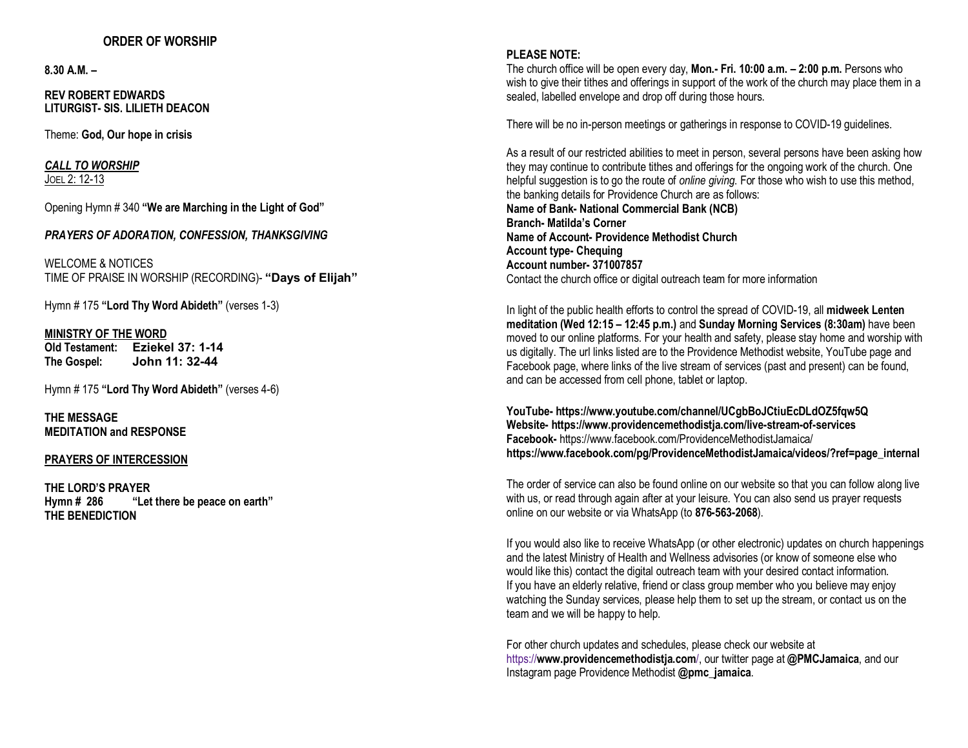## **ORDER OF WORSHIP**

**8.30 A.M. –**

**REV ROBERT EDWARDS LITURGIST- SIS. LILIETH DEACON**

Theme: **God, Our hope in crisis**

*CALL TO WORSHIP* JOEL 2: 12-13

Opening Hymn # 340 **"We are Marching in the Light of God"**

*PRAYERS OF ADORATION, CONFESSION, THANKSGIVING*

WELCOME & NOTICES TIME OF PRAISE IN WORSHIP (RECORDING)- **"Days of Elijah"**

Hymn # 175 **"Lord Thy Word Abideth"** (verses 1-3)

## **MINISTRY OF THE WORD**

**Old Testament: Eziekel 37: 1-14 The Gospel: John 11: 32-44**

Hymn # 175 **"Lord Thy Word Abideth"** (verses 4-6)

**THE MESSAGE MEDITATION and RESPONSE**

## **PRAYERS OF INTERCESSION**

**THE LORD'S PRAYER Hymn # 286 "Let there be peace on earth" THE BENEDICTION**

## **PLEASE NOTE:**

The church office will be open every day, **Mon.- Fri. 10:00 a.m. – 2:00 p.m.** Persons who wish to give their tithes and offerings in support of the work of the church may place them in a sealed, labelled envelope and drop off during those hours.

There will be no in-person meetings or gatherings in response to COVID-19 guidelines.

As a result of our restricted abilities to meet in person, several persons have been asking how they may continue to contribute tithes and offerings for the ongoing work of the church. One helpful suggestion is to go the route of *online giving*. For those who wish to use this method, the banking details for Providence Church are as follows: **Name of Bank- National Commercial Bank (NCB) Branch- Matilda's Corner Name of Account- Providence Methodist Church Account type- Chequing Account number- 371007857** Contact the church office or digital outreach team for more information

In light of the public health efforts to control the spread of COVID-19, all **midweek Lenten meditation (Wed 12:15 – 12:45 p.m.)** and **Sunday Morning Services (8:30am)** have been moved to our online platforms. For your health and safety, please stay home and worship with us digitally. The url links listed are to the Providence Methodist website, YouTube page and Facebook page, where links of the live stream of services (past and present) can be found, and can be accessed from cell phone, tablet or laptop.

**YouTube- https://www.youtube.com/channel/UCgbBoJCtiuEcDLdOZ5fqw5Q Website- https://www.providencemethodistja.com/live-stream-of-services Facebook-** https://www.facebook.com/ProvidenceMethodistJamaica/ **https://www.facebook.com/pg/ProvidenceMethodistJamaica/videos/?ref=page\_internal**

The order of service can also be found online on our website so that you can follow along live with us, or read through again after at your leisure. You can also send us prayer requests online on our website or via WhatsApp (to **876-563-2068**).

If you would also like to receive WhatsApp (or other electronic) updates on church happenings and the latest Ministry of Health and Wellness advisories (or know of someone else who would like this) contact the digital outreach team with your desired contact information. If you have an elderly relative, friend or class group member who you believe may enjoy watching the Sunday services, please help them to set up the stream, or contact us on the team and we will be happy to help.

For other church updates and schedules, please check our website at https://**www.providencemethodistja.com**/, our twitter page at **@PMCJamaica**, and our Instagram page Providence Methodist **@pmc\_jamaica**.